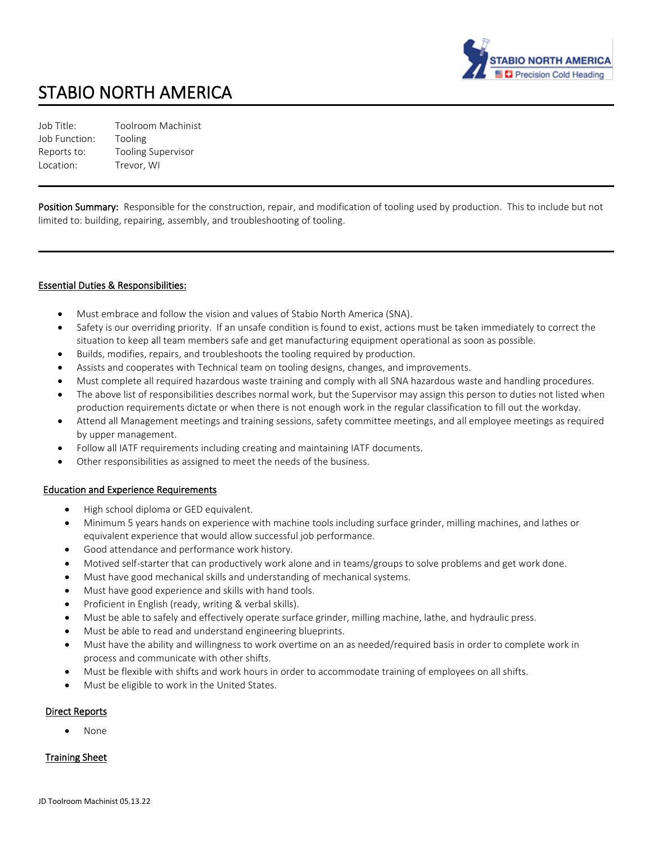

# STABIO NORTH AMERICA

Job Title: Toolroom Machinist Job Function: Tooling Reports to: Tooling Supervisor Location: Trevor, WI

Position Summary: Responsible for the construction, repair, and modification of tooling used by production. This to include but not limited to: building, repairing, assembly, and troubleshooting of tooling.

# Essential Duties & Responsibilities:

- Must embrace and follow the vision and values of Stabio North America (SNA).
- Safety is our overriding priority. If an unsafe condition is found to exist, actions must be taken immediately to correct the situation to keep all team members safe and get manufacturing equipment operational as soon as possible.
- Builds, modifies, repairs, and troubleshoots the tooling required by production.
- Assists and cooperates with Technical team on tooling designs, changes, and improvements.
- Must complete all required hazardous waste training and comply with all SNA hazardous waste and handling procedures.
- The above list of responsibilities describes normal work, but the Supervisor may assign this person to duties not listed when production requirements dictate or when there is not enough work in the regular classification to fill out the workday.
- Attend all Management meetings and training sessions, safety committee meetings, and all employee meetings as required by upper management.
- Follow all IATF requirements including creating and maintaining IATF documents.
- Other responsibilities as assigned to meet the needs of the business.

#### Education and Experience Requirements

- High school diploma or GED equivalent.
- Minimum 5 years hands on experience with machine tools including surface grinder, milling machines, and lathes or equivalent experience that would allow successful job performance.
- Good attendance and performance work history.
- Motived self-starter that can productively work alone and in teams/groups to solve problems and get work done.
- Must have good mechanical skills and understanding of mechanical systems.
- Must have good experience and skills with hand tools.
- Proficient in English (ready, writing & verbal skills).
- Must be able to safely and effectively operate surface grinder, milling machine, lathe, and hydraulic press.
- Must be able to read and understand engineering blueprints.
- Must have the ability and willingness to work overtime on an as needed/required basis in order to complete work in process and communicate with other shifts.
- Must be flexible with shifts and work hours in order to accommodate training of employees on all shifts.
- Must be eligible to work in the United States.

# Direct Reports

• None

# Training Sheet